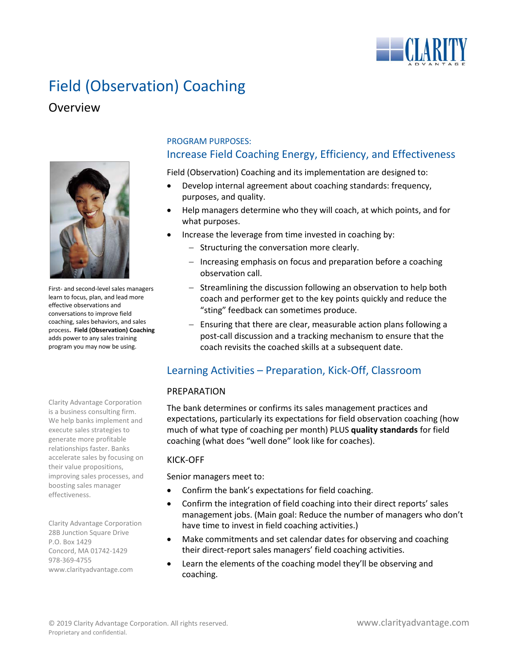

# Field (Observation) Coaching

## **Overview**



First- and second-level sales managers learn to focus, plan, and lead more effective observations and conversations to improve field coaching, sales behaviors, and sales process**. Field (Observation) Coaching** adds power to any sales training program you may now be using.

Clarity Advantage Corporation is a business consulting firm. We help banks implement and execute sales strategies to generate more profitable relationships faster. Banks accelerate sales by focusing on their value propositions, improving sales processes, and boosting sales manager effectiveness.

Clarity Advantage Corporation 28B Junction Square Drive P.O. Box 1429 Concord, MA 01742-1429 978-369-4755 www.clarityadvantage.com

## PROGRAM PURPOSES: Increase Field Coaching Energy, Efficiency, and Effectiveness

Field (Observation) Coaching and its implementation are designed to:

- Develop internal agreement about coaching standards: frequency, purposes, and quality.
- Help managers determine who they will coach, at which points, and for what purposes.
- Increase the leverage from time invested in coaching by:
	- − Structuring the conversation more clearly.
	- − Increasing emphasis on focus and preparation before a coaching observation call.
	- − Streamlining the discussion following an observation to help both coach and performer get to the key points quickly and reduce the "sting" feedback can sometimes produce.
	- − Ensuring that there are clear, measurable action plans following a post-call discussion and a tracking mechanism to ensure that the coach revisits the coached skills at a subsequent date.

## Learning Activities – Preparation, Kick-Off, Classroom

#### PREPARATION

The bank determines or confirms its sales management practices and expectations, particularly its expectations for field observation coaching (how much of what type of coaching per month) PLUS **quality standards** for field coaching (what does "well done" look like for coaches).

#### KICK-OFF

Senior managers meet to:

- Confirm the bank's expectations for field coaching.
- Confirm the integration of field coaching into their direct reports' sales management jobs. (Main goal: Reduce the number of managers who don't have time to invest in field coaching activities.)
- Make commitments and set calendar dates for observing and coaching their direct-report sales managers' field coaching activities.
- Learn the elements of the coaching model they'll be observing and coaching.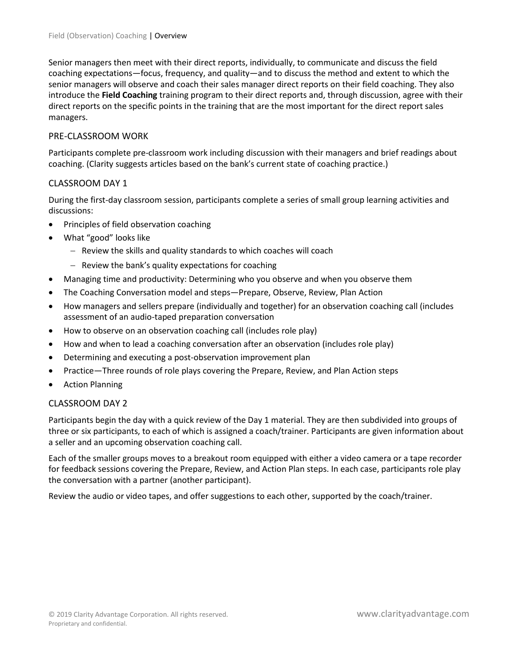Senior managers then meet with their direct reports, individually, to communicate and discuss the field coaching expectations—focus, frequency, and quality—and to discuss the method and extent to which the senior managers will observe and coach their sales manager direct reports on their field coaching. They also introduce the **Field Coaching** training program to their direct reports and, through discussion, agree with their direct reports on the specific points in the training that are the most important for the direct report sales managers.

#### PRE-CLASSROOM WORK

Participants complete pre-classroom work including discussion with their managers and brief readings about coaching. (Clarity suggests articles based on the bank's current state of coaching practice.)

#### CLASSROOM DAY 1

During the first-day classroom session, participants complete a series of small group learning activities and discussions:

- Principles of field observation coaching
- What "good" looks like
	- − Review the skills and quality standards to which coaches will coach
	- − Review the bank's quality expectations for coaching
- Managing time and productivity: Determining who you observe and when you observe them
- The Coaching Conversation model and steps—Prepare, Observe, Review, Plan Action
- How managers and sellers prepare (individually and together) for an observation coaching call (includes assessment of an audio-taped preparation conversation
- How to observe on an observation coaching call (includes role play)
- How and when to lead a coaching conversation after an observation (includes role play)
- Determining and executing a post-observation improvement plan
- Practice—Three rounds of role plays covering the Prepare, Review, and Plan Action steps
- Action Planning

#### CLASSROOM DAY 2

Participants begin the day with a quick review of the Day 1 material. They are then subdivided into groups of three or six participants, to each of which is assigned a coach/trainer. Participants are given information about a seller and an upcoming observation coaching call.

Each of the smaller groups moves to a breakout room equipped with either a video camera or a tape recorder for feedback sessions covering the Prepare, Review, and Action Plan steps. In each case, participants role play the conversation with a partner (another participant).

Review the audio or video tapes, and offer suggestions to each other, supported by the coach/trainer.